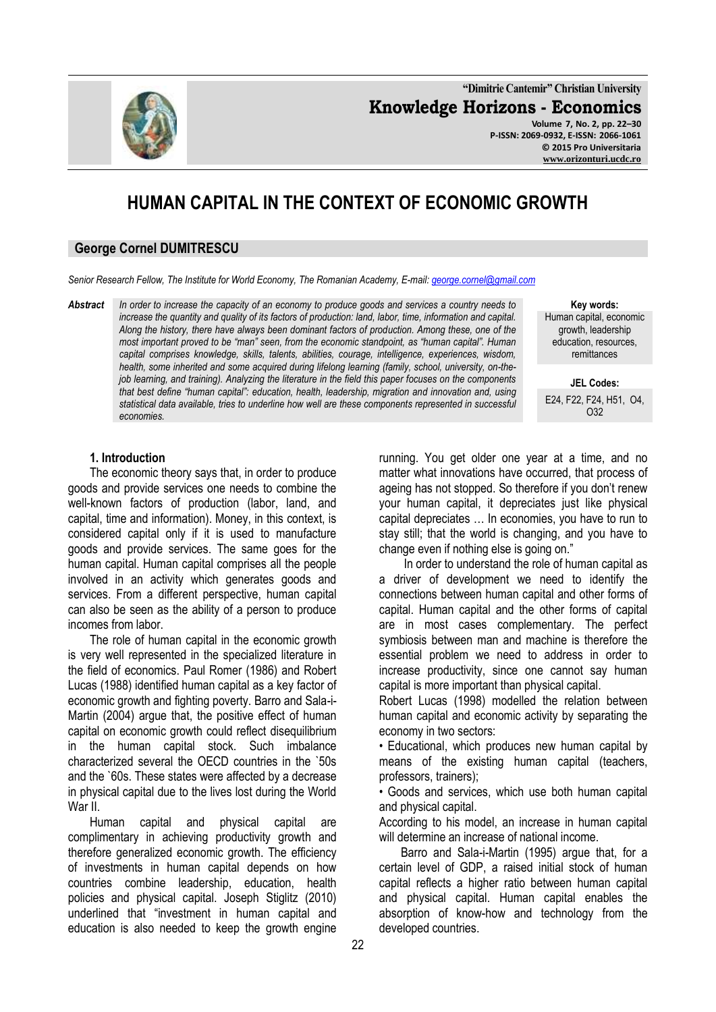**"Dimitrie Cantemir" Christian University Knowledge Horizons - Economics Volume 7, No. 2, pp. 22–30 P-ISSN: 2069-0932, E-ISSN: 2066-1061 © 2015 Pro Universitaria**

# **HUMAN CAPITAL IN THE CONTEXT OF ECONOMIC GROWTH**

#### **George Cornel DUMITRESCU**

*Senior Research Fellow, The Institute for World Economy, The Romanian Academy, E-mail: [george.cornel@gmail.com](mailto:george.cornel@gmail.com)*

*Abstract In order to increase the capacity of an economy to produce goods and services a country needs to increase the quantity and quality of its factors of production: land, labor, time, information and capital. Along the history, there have always been dominant factors of production. Among these, one of the most important proved to be "man" seen, from the economic standpoint, as "human capital". Human capital comprises knowledge, skills, talents, abilities, courage, intelligence, experiences, wisdom, health, some inherited and some acquired during lifelong learning (family, school, university, on-thejob learning, and training). Analyzing the literature in the field this paper focuses on the components that best define "human capital": education, health, leadership, migration and innovation and, using statistical data available, tries to underline how well are these components represented in successful economies.*

**Key words:**

Human capital, economic growth, leadership education, resources, remittances

**JEL Codes:**

E24, F22, F24, H51, O4, O32

#### **1. Introduction**

The economic theory says that, in order to produce goods and provide services one needs to combine the well-known factors of production (labor, land, and capital, time and information). Money, in this context, is considered capital only if it is used to manufacture goods and provide services. The same goes for the human capital. Human capital comprises all the people involved in an activity which generates goods and services. From a different perspective, human capital can also be seen as the ability of a person to produce incomes from labor.

The role of human capital in the economic growth is very well represented in the specialized literature in the field of economics. Paul Romer (1986) and Robert Lucas (1988) identified human capital as a key factor of economic growth and fighting poverty. Barro and Sala-i-Martin (2004) argue that, the positive effect of human capital on economic growth could reflect disequilibrium in the human capital stock. Such imbalance characterized several the OECD countries in the `50s and the `60s. These states were affected by a decrease in physical capital due to the lives lost during the World War II.

Human capital and physical capital are complimentary in achieving productivity growth and therefore generalized economic growth. The efficiency of investments in human capital depends on how countries combine leadership, education, health policies and physical capital. Joseph Stiglitz (2010) underlined that "investment in human capital and education is also needed to keep the growth engine

running. You get older one year at a time, and no matter what innovations have occurred, that process of ageing has not stopped. So therefore if you don't renew your human capital, it depreciates just like physical capital depreciates … In economies, you have to run to stay still; that the world is changing, and you have to change even if nothing else is going on." In order to understand the role of human capital as

a driver of development we need to identify the connections between human capital and other forms of capital. Human capital and the other forms of capital are in most cases complementary. The perfect symbiosis between man and machine is therefore the essential problem we need to address in order to increase productivity, since one cannot say human capital is more important than physical capital.

Robert Lucas (1998) modelled the relation between human capital and economic activity by separating the economy in two sectors:

• Educational, which produces new human capital by means of the existing human capital (teachers, professors, trainers);

• Goods and services, which use both human capital and physical capital.

According to his model, an increase in human capital will determine an increase of national income.

Barro and Sala-i-Martin (1995) argue that, for a certain level of GDP, a raised initial stock of human capital reflects a higher ratio between human capital and physical capital. Human capital enables the absorption of know-how and technology from the developed countries.

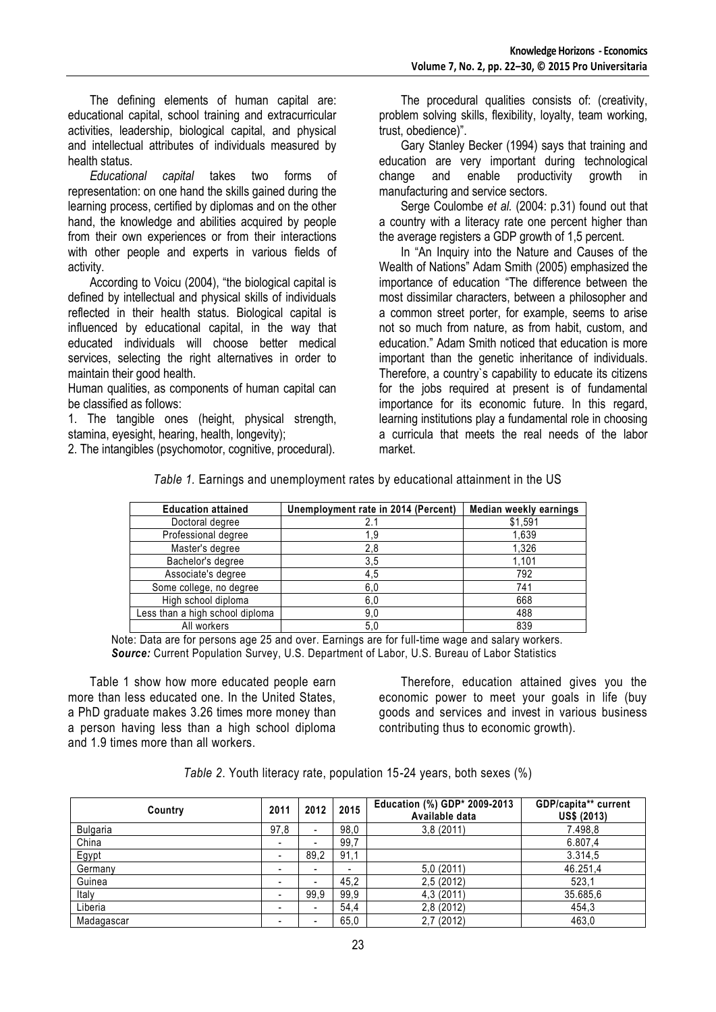The defining elements of human capital are: educational capital, school training and extracurricular activities, leadership, biological capital, and physical and intellectual attributes of individuals measured by health status.

*Educational capital* takes two forms of representation: on one hand the skills gained during the learning process, certified by diplomas and on the other hand, the knowledge and abilities acquired by people from their own experiences or from their interactions with other people and experts in various fields of activity.

According to Voicu (2004), "the biological capital is defined by intellectual and physical skills of individuals reflected in their health status. Biological capital is influenced by educational capital, in the way that educated individuals will choose better medical services, selecting the right alternatives in order to maintain their good health.

Human qualities, as components of human capital can be classified as follows:

1. The tangible ones (height, physical strength, stamina, eyesight, hearing, health, longevity);

2. The intangibles (psychomotor, cognitive, procedural).

The procedural qualities consists of: (creativity, problem solving skills, flexibility, loyalty, team working, trust, obedience)".

Gary Stanley Becker (1994) says that training and education are very important during technological change and enable productivity growth in manufacturing and service sectors.

Serge Coulombe *et al.* (2004: p.31) found out that a country with a literacy rate one percent higher than the average registers a GDP growth of 1,5 percent.

In "An Inquiry into the Nature and Causes of the Wealth of Nations" Adam Smith (2005) emphasized the importance of education "The difference between the most dissimilar characters, between a philosopher and a common street porter, for example, seems to arise not so much from nature, as from habit, custom, and education." Adam Smith noticed that education is more important than the genetic inheritance of individuals. Therefore, a country`s capability to educate its citizens for the jobs required at present is of fundamental importance for its economic future. In this regard, learning institutions play a fundamental role in choosing a curricula that meets the real needs of the labor market.

| Table 1. Earnings and unemployment rates by educational attainment in the US |  |  |  |  |  |  |  |
|------------------------------------------------------------------------------|--|--|--|--|--|--|--|
|------------------------------------------------------------------------------|--|--|--|--|--|--|--|

| <b>Education attained</b>       | Unemployment rate in 2014 (Percent) | Median weekly earnings |
|---------------------------------|-------------------------------------|------------------------|
| Doctoral degree                 |                                     | \$1,591                |
| Professional degree             | 1.9                                 | 1,639                  |
| Master's degree                 | 2,8                                 | 1,326                  |
| Bachelor's degree               | 3,5                                 | 1,101                  |
| Associate's degree              | 4,5                                 | 792                    |
| Some college, no degree         | 6,0                                 | 741                    |
| High school diploma             | 6,0                                 | 668                    |
| Less than a high school diploma | 9,0                                 | 488                    |
| All workers                     | 5,0                                 | 839                    |

Note: Data are for persons age 25 and over. Earnings are for full-time wage and salary workers. *Source:* Current Population Survey, U.S. Department of Labor, U.S. Bureau of Labor Statistics

Table 1 show how more educated people earn more than less educated one. In the United States, a PhD graduate makes 3.26 times more money than a person having less than a high school diploma and 1.9 times more than all workers.

Therefore, education attained gives you the economic power to meet your goals in life (buy goods and services and invest in various business contributing thus to economic growth).

*Table 2*. Youth literacy rate, population 15-24 years, both sexes (%)

| Country    | 2011                     | 2012                     | 2015 | Education (%) GDP* 2009-2013<br>Available data | GDP/capita** current<br><b>US\$ (2013)</b> |
|------------|--------------------------|--------------------------|------|------------------------------------------------|--------------------------------------------|
| Bulgaria   | 97,8                     | $\overline{\phantom{0}}$ | 98,0 | 3,8(2011)                                      | 7.498,8                                    |
| China      | $\overline{\phantom{0}}$ |                          | 99.7 |                                                | 6.807,4                                    |
| Egypt      |                          | 89.2                     | 91,1 |                                                | 3.314,5                                    |
| Germany    | -                        |                          | -    | 5,0(2011)                                      | 46.251,4                                   |
| Guinea     | $\overline{\phantom{0}}$ | -                        | 45.2 | 2,5(2012)                                      | 523.1                                      |
| Italy      |                          | 99,9                     | 99,9 | 4,3 (2011)                                     | 35.685,6                                   |
| Liberia    | -                        | $\blacksquare$           | 54,4 | 2,8 (2012)                                     | 454,3                                      |
| Madagascar |                          | -                        | 65,0 | 2,7(2012)                                      | 463.0                                      |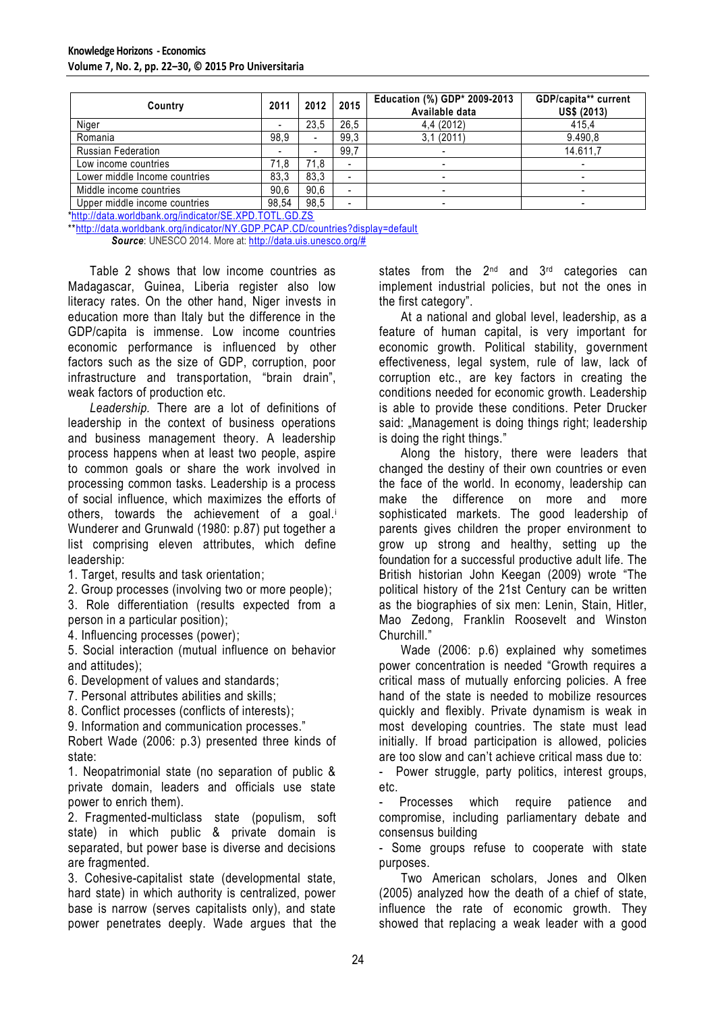| Country                       | 2011                     | 2012           | 2015                     | Education (%) GDP* 2009-2013<br>Available data | GDP/capita** current<br><b>US\$ (2013)</b> |
|-------------------------------|--------------------------|----------------|--------------------------|------------------------------------------------|--------------------------------------------|
| Niger                         | $\overline{\phantom{0}}$ | 23.5           | 26.5                     | 4,4 (2012)                                     | 415.4                                      |
| Romania                       | 98,9                     | $\blacksquare$ | 99.3                     | 3,1(2011)                                      | 9.490,8                                    |
| <b>Russian Federation</b>     | $\overline{\phantom{a}}$ |                | 99,7                     | $\blacksquare$                                 | 14.611,7                                   |
| Low income countries          | 71.8                     | 71,8           | $\overline{\phantom{0}}$ |                                                |                                            |
| Lower middle Income countries | 83.3                     | 83.3           |                          | -                                              | -                                          |
| Middle income countries       | 90.6                     | 90.6           |                          | -                                              |                                            |
| Upper middle income countries | 98,54                    | 98,5           |                          |                                                |                                            |

[\\*http://data.worldbank.org/indicator/SE.XPD.TOTL.GD.ZS](http://data.worldbank.org/indicator/SE.XPD.TOTL.GD.ZS)

\*[\\*http://data.worldbank.org/indicator/NY.GDP.PCAP.CD/countries?display=default](http://data.worldbank.org/indicator/NY.GDP.PCAP.CD/countries?display=default) *Source*: UNESCO 2014. More at: [http://data.uis.unesco.org/#](http://data.uis.unesco.org/)

Table 2 shows that low income countries as Madagascar, Guinea, Liberia register also low literacy rates. On the other hand, Niger invests in education more than Italy but the difference in the GDP/capita is immense. Low income countries economic performance is influenced by other factors such as the size of GDP, corruption, poor infrastructure and transportation, "brain drain", weak factors of production etc.

*Leadership.* There are a lot of definitions of leadership in the context of business operations and business management theory. A leadership process happens when at least two people, aspire to common goals or share the work involved in processing common tasks. Leadership is a process of social influence, which maximizes the efforts of others, towards the achievement of a goal.<sup>i</sup> Wunderer and Grunwald (1980: p.87) put together a list comprising eleven attributes, which define leadership:

1. Target, results and task orientation;

2. Group processes (involving two or more people);

3. Role differentiation (results expected from a person in a particular position);

4. Influencing processes (power);

5. Social interaction (mutual influence on behavior and attitudes);

6. Development of values and standards;

7. Personal attributes abilities and skills;

8. Conflict processes (conflicts of interests);

9. Information and communication processes."

Robert Wade (2006: p.3) presented three kinds of state:

1. Neopatrimonial state (no separation of public & private domain, leaders and officials use state power to enrich them).

2. Fragmented-multiclass state (populism, soft state) in which public & private domain is separated, but power base is diverse and decisions are fragmented.

3. Cohesive-capitalist state (developmental state, hard state) in which authority is centralized, power base is narrow (serves capitalists only), and state power penetrates deeply. Wade argues that the

states from the  $2^{nd}$  and  $3^{rd}$  categories can implement industrial policies, but not the ones in the first category".

At a national and global level, leadership, as a feature of human capital, is very important for economic growth. Political stability, government effectiveness, legal system, rule of law, lack of corruption etc., are key factors in creating the conditions needed for economic growth. Leadership is able to provide these conditions. Peter Drucker said: "Management is doing things right; leadership is doing the right things."

Along the history, there were leaders that changed the destiny of their own countries or even the face of the world. In economy, leadership can make the difference on more and more sophisticated markets. The good leadership of parents gives children the proper environment to grow up strong and healthy, setting up the foundation for a successful productive adult life. The British historian John Keegan (2009) wrote "The political history of the 21st Century can be written as the biographies of six men: Lenin, Stain, Hitler, Mao Zedong, Franklin Roosevelt and Winston Churchill."

Wade (2006: p.6) explained why sometimes power concentration is needed "Growth requires a critical mass of mutually enforcing policies. A free hand of the state is needed to mobilize resources quickly and flexibly. Private dynamism is weak in most developing countries. The state must lead initially. If broad participation is allowed, policies are too slow and can't achieve critical mass due to:

- Power struggle, party politics, interest groups, etc.

Processes which require patience and compromise, including parliamentary debate and consensus building

- Some groups refuse to cooperate with state purposes.

Two American scholars, Jones and Olken (2005) analyzed how the death of a chief of state, influence the rate of economic growth. They showed that replacing a weak leader with a good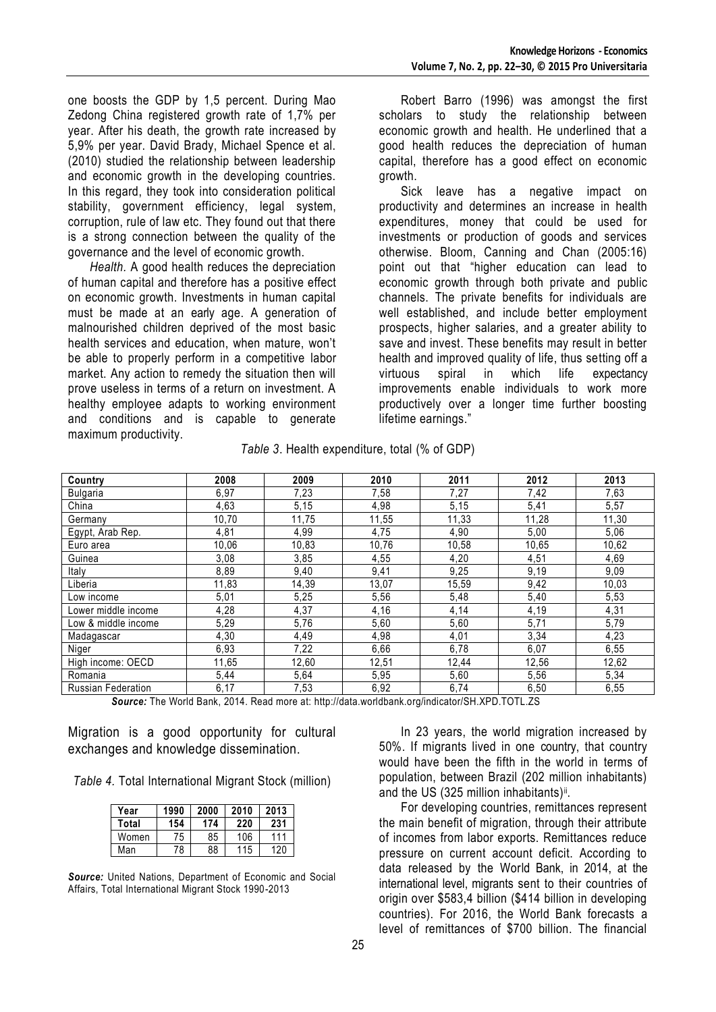one boosts the GDP by 1,5 percent. During Mao Zedong China registered growth rate of 1,7% per year. After his death, the growth rate increased by 5,9% per year. David Brady, Michael Spence et al. (2010) studied the relationship between leadership and economic growth in the developing countries. In this regard, they took into consideration political stability, government efficiency, legal system, corruption, rule of law etc. They found out that there is a strong connection between the quality of the governance and the level of economic growth.

*Health.* A good health reduces the depreciation of human capital and therefore has a positive effect on economic growth. Investments in human capital must be made at an early age. A generation of malnourished children deprived of the most basic health services and education, when mature, won't be able to properly perform in a competitive labor market. Any action to remedy the situation then will prove useless in terms of a return on investment. A healthy employee adapts to working environment and conditions and is capable to generate maximum productivity.

Robert Barro (1996) was amongst the first scholars to study the relationship between economic growth and health. He underlined that a good health reduces the depreciation of human capital, therefore has a good effect on economic growth.

Sick leave has a negative impact on productivity and determines an increase in health expenditures, money that could be used for investments or production of goods and services otherwise. Bloom, Canning and Chan (2005:16) point out that "higher education can lead to economic growth through both private and public channels. The private benefits for individuals are well established, and include better employment prospects, higher salaries, and a greater ability to save and invest. These benefits may result in better health and improved quality of life, thus setting off a virtuous spiral in which life expectancy improvements enable individuals to work more productively over a longer time further boosting lifetime earnings."

| Table 3. Health expenditure, total (% of GDP) |  |  |
|-----------------------------------------------|--|--|
|-----------------------------------------------|--|--|

| Country                   | 2008  | 2009  | 2010  | 2011  | 2012  | 2013  |
|---------------------------|-------|-------|-------|-------|-------|-------|
| <b>Bulgaria</b>           | 6,97  | 7,23  | 7,58  | 7,27  | 7,42  | 7,63  |
| China                     | 4,63  | 5,15  | 4,98  | 5,15  | 5,41  | 5,57  |
| Germany                   | 10,70 | 11,75 | 11,55 | 11,33 | 11,28 | 11,30 |
| Egypt, Arab Rep.          | 4,81  | 4,99  | 4,75  | 4,90  | 5,00  | 5,06  |
| Euro area                 | 10,06 | 10,83 | 10,76 | 10,58 | 10,65 | 10,62 |
| Guinea                    | 3,08  | 3,85  | 4,55  | 4,20  | 4,51  | 4,69  |
| Italy                     | 8,89  | 9,40  | 9,41  | 9,25  | 9,19  | 9,09  |
| Liberia                   | 11,83 | 14,39 | 13,07 | 15,59 | 9,42  | 10,03 |
| Low income                | 5,01  | 5,25  | 5,56  | 5,48  | 5,40  | 5,53  |
| Lower middle income       | 4,28  | 4,37  | 4,16  | 4,14  | 4,19  | 4,31  |
| Low & middle income       | 5,29  | 5,76  | 5,60  | 5,60  | 5,71  | 5,79  |
| Madagascar                | 4,30  | 4,49  | 4,98  | 4,01  | 3,34  | 4,23  |
| Niger                     | 6,93  | 7,22  | 6,66  | 6,78  | 6,07  | 6,55  |
| High income: OECD         | 11,65 | 12,60 | 12,51 | 12,44 | 12,56 | 12,62 |
| Romania                   | 5,44  | 5,64  | 5,95  | 5,60  | 5,56  | 5,34  |
| <b>Russian Federation</b> | 6,17  | 7,53  | 6,92  | 6,74  | 6,50  | 6,55  |

*Source:* The World Bank, 2014. Read more at: http://data.worldbank.org/indicator/SH.XPD.TOTL.ZS

Migration is a good opportunity for cultural exchanges and knowledge dissemination.

*Table 4.* Total International Migrant Stock (million)

| Year  | 1990 | 2000 | 2010 | 2013 |
|-------|------|------|------|------|
| Total | 154  | 174  | 220  | 231  |
| Women | 75   | 85   | 106  | 111  |
| Man   | 78   | 88   | 115  | 120  |

*Source:* United Nations, Department of Economic and Social Affairs, Total International Migrant Stock 1990-2013

In 23 years, the world migration increased by 50%. If migrants lived in one country, that country would have been the fifth in the world in terms of population, between Brazil (202 million inhabitants) and the US (325 million inhabitants)<sup>ii</sup>.

For developing countries, remittances represent the main benefit of migration, through their attribute of incomes from labor exports. Remittances reduce pressure on current account deficit. According to data released by the World Bank, in 2014, at the international level, migrants sent to their countries of origin over \$583,4 billion (\$414 billion in developing countries). For 2016, the World Bank forecasts a level of remittances of \$700 billion. The financial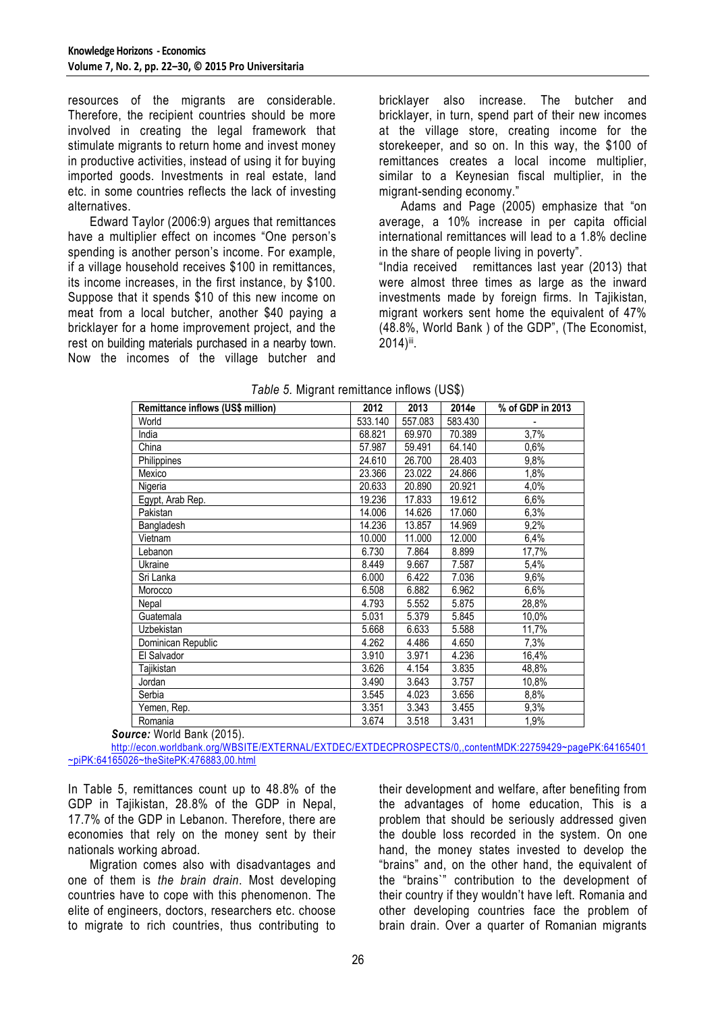resources of the migrants are considerable. Therefore, the recipient countries should be more involved in creating the legal framework that stimulate migrants to return home and invest money in productive activities, instead of using it for buying imported goods. Investments in real estate, land etc. in some countries reflects the lack of investing alternatives.

Edward Taylor (2006:9) argues that remittances have a multiplier effect on incomes "One person's spending is another person's income. For example, if a village household receives \$100 in remittances, its income increases, in the first instance, by \$100. Suppose that it spends \$10 of this new income on meat from a local butcher, another \$40 paying a bricklayer for a home improvement project, and the rest on building materials purchased in a nearby town. Now the incomes of the village butcher and

bricklayer also increase. The butcher and bricklayer, in turn, spend part of their new incomes at the village store, creating income for the storekeeper, and so on. In this way, the \$100 of remittances creates a local income multiplier, similar to a Keynesian fiscal multiplier, in the migrant-sending economy."

Adams and Page (2005) emphasize that "on average, a 10% increase in per capita official international remittances will lead to a 1.8% decline in the share of people living in poverty".

"India received remittances last year (2013) that were almost three times as large as the inward investments made by foreign firms. In Tajikistan, migrant workers sent home the equivalent of 47% (48.8%, World Bank ) of the GDP", (The Economist, 2014)iii.

| Remittance inflows (US\$ million) | 2012    | 2013    | 2014e   | % of GDP in 2013 |
|-----------------------------------|---------|---------|---------|------------------|
| World                             | 533.140 | 557.083 | 583.430 |                  |
| India                             | 68.821  | 69.970  | 70.389  | 3,7%             |
| China                             | 57.987  | 59.491  | 64.140  | 0,6%             |
| Philippines                       | 24.610  | 26.700  | 28.403  | 9,8%             |
| Mexico                            | 23.366  | 23.022  | 24.866  | 1,8%             |
| Nigeria                           | 20.633  | 20.890  | 20.921  | 4,0%             |
| Egypt, Arab Rep.                  | 19.236  | 17.833  | 19.612  | 6,6%             |
| Pakistan                          | 14.006  | 14.626  | 17.060  | 6,3%             |
| Bangladesh                        | 14.236  | 13.857  | 14.969  | 9,2%             |
| Vietnam                           | 10.000  | 11.000  | 12.000  | 6,4%             |
| Lebanon                           | 6.730   | 7.864   | 8.899   | 17,7%            |
| Ukraine                           | 8.449   | 9.667   | 7.587   | 5,4%             |
| Sri Lanka                         | 6.000   | 6.422   | 7.036   | 9,6%             |
| Morocco                           | 6.508   | 6.882   | 6.962   | 6,6%             |
| Nepal                             | 4.793   | 5.552   | 5.875   | 28,8%            |
| Guatemala                         | 5.031   | 5.379   | 5.845   | 10,0%            |
| Uzbekistan                        | 5.668   | 6.633   | 5.588   | 11,7%            |
| Dominican Republic                | 4.262   | 4.486   | 4.650   | 7,3%             |
| El Salvador                       | 3.910   | 3.971   | 4.236   | 16,4%            |
| Tajikistan                        | 3.626   | 4.154   | 3.835   | 48,8%            |
| Jordan                            | 3.490   | 3.643   | 3.757   | 10,8%            |
| Serbia                            | 3.545   | 4.023   | 3.656   | 8,8%             |
| Yemen, Rep.                       | 3.351   | 3.343   | 3.455   | 9,3%             |
| Romania                           | 3.674   | 3.518   | 3.431   | 1,9%             |

|  | Table 5. Migrant remittance inflows (US\$) |  |  |
|--|--------------------------------------------|--|--|

*Source:* World Bank (2015).

[http://econ.worldbank.org/WBSITE/EXTERNAL/EXTDEC/EXTDECPROSPECTS/0,,contentMDK:22759429~pagePK:64165401](http://econ.worldbank.org/WBSITE/EXTERNAL/EXTDEC/EXTDECPROSPECTS/0,,contentMDK:22759429~pagePK:64165401~piPK:64165026~theSitePK:476883,00.html) [~piPK:64165026~theSitePK:476883,00.html](http://econ.worldbank.org/WBSITE/EXTERNAL/EXTDEC/EXTDECPROSPECTS/0,,contentMDK:22759429~pagePK:64165401~piPK:64165026~theSitePK:476883,00.html)

In Table 5, remittances count up to 48.8% of the GDP in Tajikistan, 28.8% of the GDP in Nepal, 17.7% of the GDP in Lebanon. Therefore, there are economies that rely on the money sent by their nationals working abroad.

Migration comes also with disadvantages and one of them is *the brain drain*. Most developing countries have to cope with this phenomenon. The elite of engineers, doctors, researchers etc. choose to migrate to rich countries, thus contributing to

their development and welfare, after benefiting from the advantages of home education, This is a problem that should be seriously addressed given the double loss recorded in the system. On one hand, the money states invested to develop the "brains" and, on the other hand, the equivalent of the "brains`" contribution to the development of their country if they wouldn't have left. Romania and other developing countries face the problem of brain drain. Over a quarter of Romanian migrants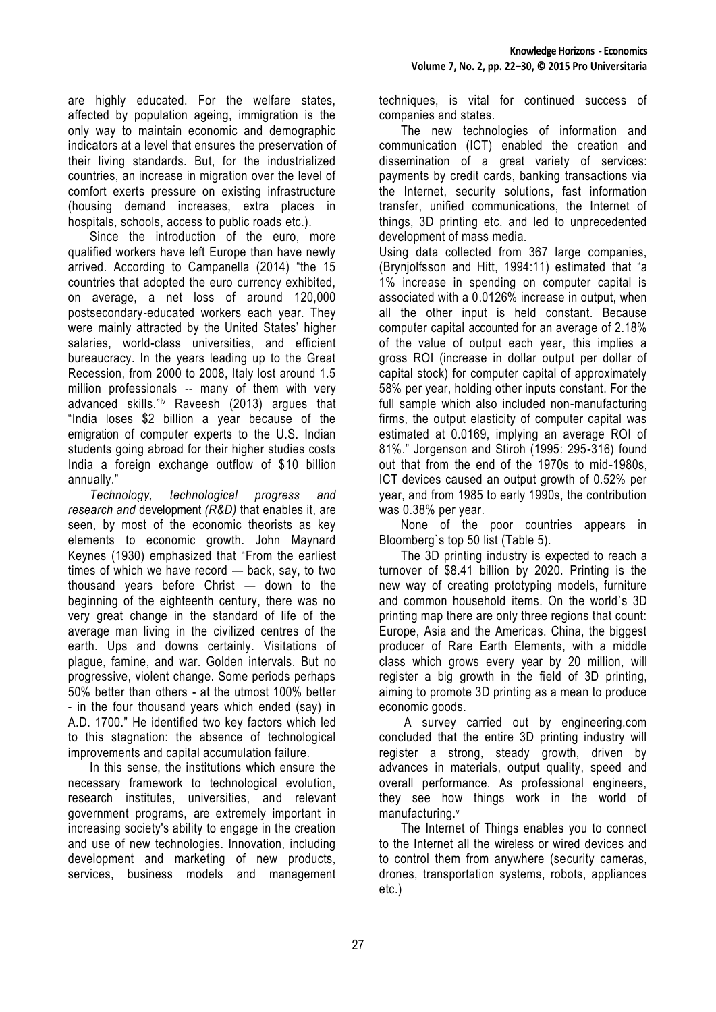are highly educated. For the welfare states, affected by population ageing, immigration is the only way to maintain economic and demographic indicators at a level that ensures the preservation of their living standards. But, for the industrialized countries, an increase in migration over the level of comfort exerts pressure on existing infrastructure (housing demand increases, extra places in hospitals, schools, access to public roads etc.).

Since the introduction of the euro, more qualified workers have left Europe than have newly arrived. According to Campanella (2014) "the 15 countries that adopted the euro currency exhibited, on average, a net loss of around 120,000 postsecondary-educated workers each year. They were mainly attracted by the United States' higher salaries, world-class universities, and efficient bureaucracy. In the years leading up to the Great Recession, from 2000 to 2008, Italy lost around 1.5 million professionals -- many of them with very advanced skills."iv Raveesh (2013) argues that "India loses \$2 billion a year because of the emigration of computer experts to the U.S. Indian students going abroad for their higher studies costs India a foreign exchange outflow of \$10 billion annually."

*Technology, technological progress and research and* development *(R&D)* that enables it, are seen, by most of the economic theorists as key elements to economic growth. John Maynard Keynes (1930) emphasized that "From the earliest times of which we have record — back, say, to two thousand years before Christ — down to the beginning of the eighteenth century, there was no very great change in the standard of life of the average man living in the civilized centres of the earth. Ups and downs certainly. Visitations of plague, famine, and war. Golden intervals. But no progressive, violent change. Some periods perhaps 50% better than others - at the utmost 100% better - in the four thousand years which ended (say) in A.D. 1700." He identified two key factors which led to this stagnation: the absence of technological improvements and capital accumulation failure.

In this sense, the institutions which ensure the necessary framework to technological evolution, research institutes, universities, and relevant government programs, are extremely important in increasing society's ability to engage in the creation and use of new technologies. Innovation, including development and marketing of new products, services, business models and management

techniques, is vital for continued success of companies and states.

The new technologies of information and communication (ICT) enabled the creation and dissemination of a great variety of services: payments by credit cards, banking transactions via the Internet, security solutions, fast information transfer, unified communications, the Internet of things, 3D printing etc. and led to unprecedented development of mass media.

Using data collected from 367 large companies, (Brynjolfsson and Hitt, 1994:11) estimated that "a 1% increase in spending on computer capital is associated with a 0.0126% increase in output, when all the other input is held constant. Because computer capital accounted for an average of 2.18% of the value of output each year, this implies a gross ROI (increase in dollar output per dollar of capital stock) for computer capital of approximately 58% per year, holding other inputs constant. For the full sample which also included non-manufacturing firms, the output elasticity of computer capital was estimated at 0.0169, implying an average ROI of 81%." Jorgenson and Stiroh (1995: 295-316) found out that from the end of the 1970s to mid-1980s, ICT devices caused an output growth of 0.52% per year, and from 1985 to early 1990s, the contribution was 0.38% per year.

None of the poor countries appears in Bloomberg`s top 50 list (Table 5).

The 3D printing industry is expected to reach a turnover of \$8.41 billion by 2020. Printing is the new way of creating prototyping models, furniture and common household items. On the world`s 3D printing map there are only three regions that count: Europe, Asia and the Americas. China, the biggest producer of Rare Earth Elements, with a middle class which grows every year by 20 million, will register a big growth in the field of 3D printing, aiming to promote 3D printing as a mean to produce economic goods.

A survey carried out by engineering.com concluded that the entire 3D printing industry will register a strong, steady growth, driven by advances in materials, output quality, speed and overall performance. As professional engineers, they see how things work in the world of manufacturing.<sup>v</sup>

The Internet of Things enables you to connect to the Internet all the wireless or wired devices and to control them from anywhere (security cameras, drones, transportation systems, robots, appliances etc.)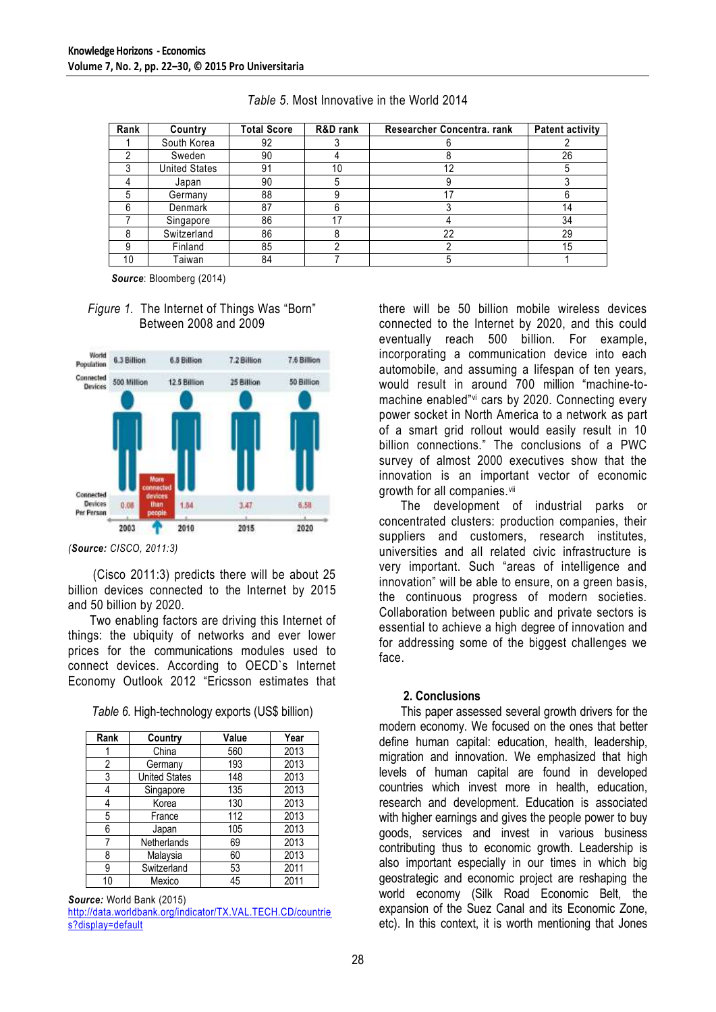| Rank | Country              | <b>Total Score</b> | R&D rank | Researcher Concentra. rank | <b>Patent activity</b> |
|------|----------------------|--------------------|----------|----------------------------|------------------------|
|      | South Korea          | 92                 |          |                            |                        |
|      | Sweden               | 90                 |          |                            | 26                     |
|      | <b>United States</b> | 91                 | 10       |                            |                        |
|      | Japan                | 90                 |          |                            |                        |
|      | Germany              | 88                 |          |                            |                        |
|      | Denmark              | 87                 |          |                            | 14                     |
|      | Singapore            | 86                 | 17       |                            | 34                     |
|      | Switzerland          | 86                 |          | 22                         | 29                     |
|      | Finland              | 85                 |          |                            | 15                     |
| 10   | Taiwan               | 84                 |          |                            |                        |

*Table 5*. Most Innovative in the World 2014

*Source*: Bloomberg (2014)

#### *Figure 1.* The Internet of Things Was "Born" Between 2008 and 2009



*(Source: CISCO, 2011:3)*

(Cisco 2011:3) predicts there will be about 25 billion devices connected to the Internet by 2015 and 50 billion by 2020.

Two enabling factors are driving this Internet of things: the ubiquity of networks and ever lower prices for the communications modules used to connect devices. According to OECD`s Internet Economy Outlook 2012 "Ericsson estimates that

| Rank | Country              | Value | Year |
|------|----------------------|-------|------|
|      | China                | 560   | 2013 |
| 2    | Germany              | 193   | 2013 |
| 3    | <b>United States</b> | 148   | 2013 |
| 4    | Singapore            | 135   | 2013 |
| 4    | Korea                | 130   | 2013 |
| 5    | France               | 112   | 2013 |
| 6    | Japan                | 105   | 2013 |
|      | Netherlands          | 69    | 2013 |
| 8    | Malaysia             | 60    | 2013 |
| 9    | Switzerland          | 53    | 2011 |
| 10   | Mexico               | 45    | 2011 |

*Source:* World Bank (2015)

[http://data.worldbank.org/indicator/TX.VAL.TECH.CD/countrie](http://data.worldbank.org/indicator/TX.VAL.TECH.CD/countries?display=default) [s?display=default](http://data.worldbank.org/indicator/TX.VAL.TECH.CD/countries?display=default)

there will be 50 billion mobile wireless devices connected to the Internet by 2020, and this could eventually reach 500 billion. For example, incorporating a communication device into each automobile, and assuming a lifespan of ten years, would result in around 700 million "machine-tomachine enabled"vi cars by 2020. Connecting every power socket in North America to a network as part of a smart grid rollout would easily result in 10 billion connections." The conclusions of a PWC survey of almost 2000 executives show that the innovation is an important vector of economic growth for all companies.vii

The development of industrial parks or concentrated clusters: production companies, their suppliers and customers, research institutes, universities and all related civic infrastructure is very important. Such "areas of intelligence and innovation" will be able to ensure, on a green basis, the continuous progress of modern societies. Collaboration between public and private sectors is essential to achieve a high degree of innovation and for addressing some of the biggest challenges we face.

#### **2. Conclusions**

This paper assessed several growth drivers for the modern economy. We focused on the ones that better define human capital: education, health, leadership, migration and innovation. We emphasized that high levels of human capital are found in developed countries which invest more in health, education, research and development. Education is associated with higher earnings and gives the people power to buy goods, services and invest in various business contributing thus to economic growth. Leadership is also important especially in our times in which big geostrategic and economic project are reshaping the world economy (Silk Road Economic Belt, the expansion of the Suez Canal and its Economic Zone, etc). In this context, it is worth mentioning that Jones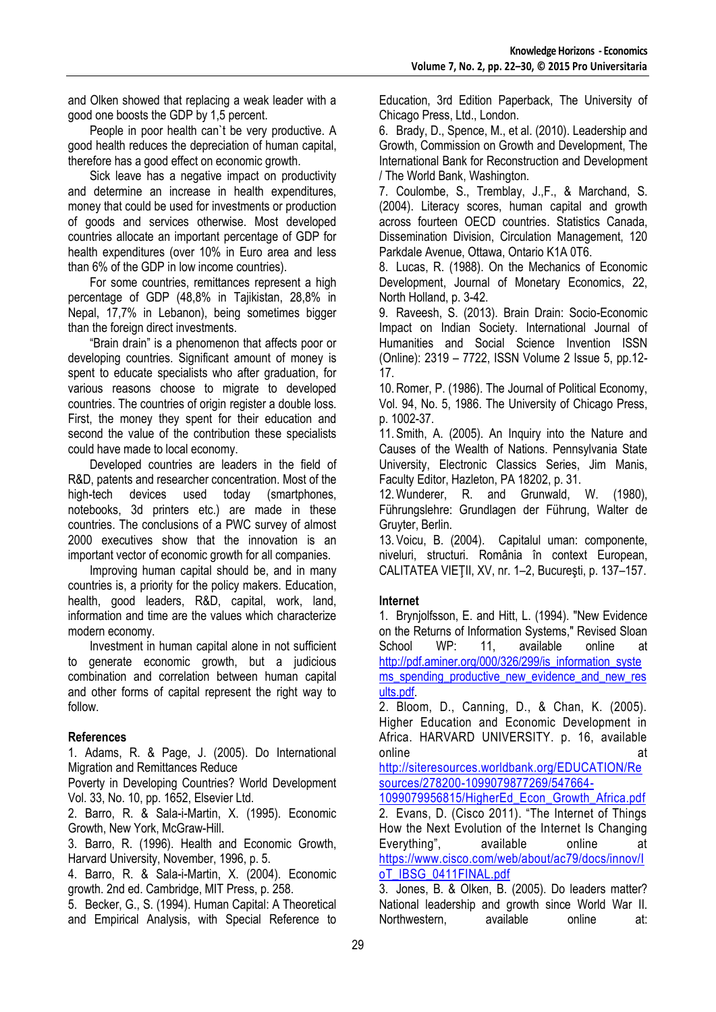and Olken showed that replacing a weak leader with a good one boosts the GDP by 1,5 percent.

People in poor health can`t be very productive. A good health reduces the depreciation of human capital, therefore has a good effect on economic growth.

Sick leave has a negative impact on productivity and determine an increase in health expenditures, money that could be used for investments or production of goods and services otherwise. Most developed countries allocate an important percentage of GDP for health expenditures (over 10% in Euro area and less than 6% of the GDP in low income countries).

For some countries, remittances represent a high percentage of GDP (48,8% in Tajikistan, 28,8% in Nepal, 17,7% in Lebanon), being sometimes bigger than the foreign direct investments.

"Brain drain" is a phenomenon that affects poor or developing countries. Significant amount of money is spent to educate specialists who after graduation, for various reasons choose to migrate to developed countries. The countries of origin register a double loss. First, the money they spent for their education and second the value of the contribution these specialists could have made to local economy.

Developed countries are leaders in the field of R&D, patents and researcher concentration. Most of the high-tech devices used today (smartphones, notebooks, 3d printers etc.) are made in these countries. The conclusions of a PWC survey of almost 2000 executives show that the innovation is an important vector of economic growth for all companies.

Improving human capital should be, and in many countries is, a priority for the policy makers. Education, health, good leaders, R&D, capital, work, land, information and time are the values which characterize modern economy.

Investment in human capital alone in not sufficient to generate economic growth, but a judicious combination and correlation between human capital and other forms of capital represent the right way to follow.

## **References**

1. Adams, R. & Page, J. (2005). Do International Migration and Remittances Reduce

Poverty in Developing Countries? World Development Vol. 33, No. 10, pp. 1652, Elsevier Ltd.

2. Barro, R. & Sala-i-Martin, X. (1995). Economic Growth, New York, McGraw-Hill.

3. Barro, R. (1996). Health and Economic Growth, Harvard University, November, 1996, p. 5.

4. Barro, R. & Sala-i-Martin, X. (2004). Economic growth. 2nd ed. Cambridge, MIT Press, p. 258.

5. Becker, G., S. (1994). Human Capital: A Theoretical and Empirical Analysis, with Special Reference to Education, 3rd Edition Paperback, The University of Chicago Press, Ltd., London.

6. Brady, D., Spence, M., et al. (2010). Leadership and Growth, Commission on Growth and Development, The International Bank for Reconstruction and Development / The World Bank, Washington.

7. Coulombe, S., Tremblay, J.,F., & Marchand, S. (2004). Literacy scores, human capital and growth across fourteen OECD countries. Statistics Canada, Dissemination Division, Circulation Management, 120 Parkdale Avenue, Ottawa, Ontario K1A 0T6.

8. Lucas, R. (1988). On the Mechanics of Economic Development, Journal of Monetary Economics, 22, North Holland, p. 3-42.

9. Raveesh, S. (2013). Brain Drain: Socio-Economic Impact on Indian Society. International Journal of Humanities and Social Science Invention ISSN (Online): 2319 – 7722, ISSN Volume 2 Issue 5, pp.12- 17.

10.Romer, P. (1986). The Journal of Political Economy, Vol. 94, No. 5, 1986. The University of Chicago Press, p. 1002-37.

11. Smith, A. (2005). An Inquiry into the Nature and Causes of the Wealth of Nations. Pennsylvania State University, Electronic Classics Series, Jim Manis, Faculty Editor, Hazleton, PA 18202, p. 31.

12.Wunderer, R. and Grunwald, W. (1980), Führungslehre: Grundlagen der Führung, Walter de Gruyter, Berlin.

13. Voicu, B. (2004). Capitalul uman: componente, niveluri, structuri. România în context European, CALITATEA VIEŢII, XV, nr. 1–2, Bucureşti, p. 137–157.

### **Internet**

1. Brynjolfsson, E. and Hitt, L. (1994). "New Evidence on the Returns of Information Systems," Revised Sloan School WP: 11, available online at [http://pdf.aminer.org/000/326/299/is\\_information\\_syste](http://pdf.aminer.org/000/326/299/is_information_systems_spending_productive_new_evidence_and_new_results.pdf) [ms\\_spending\\_productive\\_new\\_evidence\\_and\\_new\\_res](http://pdf.aminer.org/000/326/299/is_information_systems_spending_productive_new_evidence_and_new_results.pdf) [ults.pdf.](http://pdf.aminer.org/000/326/299/is_information_systems_spending_productive_new_evidence_and_new_results.pdf)

2. Bloom, D., Canning, D., & Chan, K. (2005). Higher Education and Economic Development in Africa. HARVARD UNIVERSITY. p. 16, available online and at a state of the state at a state of the state at  $\alpha$ 

[http://siteresources.worldbank.org/EDUCATION/Re](http://siteresources.worldbank.org/EDUCATION/Resources/278200-1099079877269/547664-1099079956815/HigherEd_Econ_Growth_Africa.pdf) [sources/278200-1099079877269/547664-](http://siteresources.worldbank.org/EDUCATION/Resources/278200-1099079877269/547664-1099079956815/HigherEd_Econ_Growth_Africa.pdf)

[1099079956815/HigherEd\\_Econ\\_Growth\\_Africa.pdf](http://siteresources.worldbank.org/EDUCATION/Resources/278200-1099079877269/547664-1099079956815/HigherEd_Econ_Growth_Africa.pdf) 2. Evans, D. (Cisco 2011). "The Internet of Things How the Next Evolution of the Internet Is Changing Everything", available online at [https://www.cisco.com/web/about/ac79/docs/innov/I](https://www.cisco.com/web/about/ac79/docs/innov/IoT_IBSG_0411FINAL.pdf) [oT\\_IBSG\\_0411FINAL.pdf](https://www.cisco.com/web/about/ac79/docs/innov/IoT_IBSG_0411FINAL.pdf)

3. Jones, B. & Olken, B. (2005). Do leaders matter? National leadership and growth since World War II.<br>Northwestern, available online at: Northwestern, available online at: